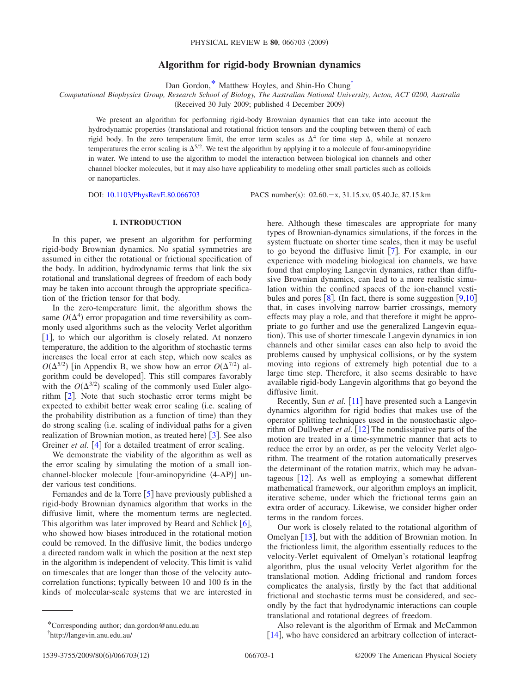# **Algorithm for rigid-body Brownian dynamics**

Dan Gordon[,\\*](#page-0-0) Matthew Hoyles, and Shin-Ho Chun[g†](#page-0-1)

*Computational Biophysics Group, Research School of Biology, The Australian National University, Acton, ACT 0200, Australia*

Received 30 July 2009; published 4 December 2009-

We present an algorithm for performing rigid-body Brownian dynamics that can take into account the hydrodynamic properties (translational and rotational friction tensors and the coupling between them) of each rigid body. In the zero temperature limit, the error term scales as  $\Delta^4$  for time step  $\Delta$ , while at nonzero temperatures the error scaling is  $\Delta^{5/2}$ . We test the algorithm by applying it to a molecule of four-aminopyridine in water. We intend to use the algorithm to model the interaction between biological ion channels and other channel blocker molecules, but it may also have applicability to modeling other small particles such as colloids or nanoparticles.

DOI: [10.1103/PhysRevE.80.066703](http://dx.doi.org/10.1103/PhysRevE.80.066703)

: 02.60.-x, 31.15.xv, 05.40.Jc, 87.15.km

### **I. INTRODUCTION**

In this paper, we present an algorithm for performing rigid-body Brownian dynamics. No spatial symmetries are assumed in either the rotational or frictional specification of the body. In addition, hydrodynamic terms that link the six rotational and translational degrees of freedom of each body may be taken into account through the appropriate specification of the friction tensor for that body.

In the zero-temperature limit, the algorithm shows the same  $O(\Delta^4)$  error propagation and time reversibility as commonly used algorithms such as the velocity Verlet algorithm  $[1]$  $[1]$  $[1]$ , to which our algorithm is closely related. At nonzero temperature, the addition to the algorithm of stochastic terms increases the local error at each step, which now scales as  $O(\Delta^{5/2})$  [in Appendix B, we show how an error  $O(\Delta^{7/2})$  algorithm could be developed. This still compares favorably with the  $O(\Delta^{3/2})$  scaling of the commonly used Euler algorithm  $\lceil 2 \rceil$  $\lceil 2 \rceil$  $\lceil 2 \rceil$ . Note that such stochastic error terms might be expected to exhibit better weak error scaling (i.e. scaling of the probability distribution as a function of time) than they do strong scaling (i.e. scaling of individual paths for a given realization of Brownian motion, as treated here)  $\left[3\right]$  $\left[3\right]$  $\left[3\right]$ . See also Greiner *et al.* [[4](#page-10-3)] for a detailed treatment of error scaling.

We demonstrate the viability of the algorithm as well as the error scaling by simulating the motion of a small ionchannel-blocker molecule [four-aminopyridine (4-AP)] under various test conditions.

Fernandes and de la Torre  $\lceil 5 \rceil$  $\lceil 5 \rceil$  $\lceil 5 \rceil$  have previously published a rigid-body Brownian dynamics algorithm that works in the diffusive limit, where the momentum terms are neglected. This algorithm was later improved by Beard and Schlick  $[6]$  $[6]$  $[6]$ , who showed how biases introduced in the rotational motion could be removed. In the diffusive limit, the bodies undergo a directed random walk in which the position at the next step in the algorithm is independent of velocity. This limit is valid on timescales that are longer than those of the velocity autocorrelation functions; typically between 10 and 100 fs in the kinds of molecular-scale systems that we are interested in here. Although these timescales are appropriate for many types of Brownian-dynamics simulations, if the forces in the system fluctuate on shorter time scales, then it may be useful to go beyond the diffusive limit [[7](#page-10-6)]. For example, in our experience with modeling biological ion channels, we have found that employing Langevin dynamics, rather than diffusive Brownian dynamics, can lead to a more realistic simulation within the confined spaces of the ion-channel vestibules and pores  $\lceil 8 \rceil$  $\lceil 8 \rceil$  $\lceil 8 \rceil$ . (In fact, there is some suggestion  $\lceil 9,10 \rceil$  $\lceil 9,10 \rceil$  $\lceil 9,10 \rceil$  $\lceil 9,10 \rceil$ that, in cases involving narrow barrier crossings, memory effects may play a role, and that therefore it might be appropriate to go further and use the generalized Langevin equation). This use of shorter timescale Langevin dynamics in ion channels and other similar cases can also help to avoid the problems caused by unphysical collisions, or by the system moving into regions of extremely high potential due to a large time step. Therefore, it also seems desirable to have available rigid-body Langevin algorithms that go beyond the diffusive limit.

Recently, Sun *et al.* [[11](#page-10-10)] have presented such a Langevin dynamics algorithm for rigid bodies that makes use of the operator splitting techniques used in the nonstochastic algorithm of Dullweber *et al.* [[12](#page-10-11)] The nondissipative parts of the motion are treated in a time-symmetric manner that acts to reduce the error by an order, as per the velocity Verlet algorithm. The treatment of the rotation automatically preserves the determinant of the rotation matrix, which may be advantageous  $\lceil 12 \rceil$  $\lceil 12 \rceil$  $\lceil 12 \rceil$ . As well as employing a somewhat different mathematical framework, our algorithm employs an implicit, iterative scheme, under which the frictional terms gain an extra order of accuracy. Likewise, we consider higher order terms in the random forces.

Our work is closely related to the rotational algorithm of Omelyan [[13](#page-10-12)], but with the addition of Brownian motion. In the frictionless limit, the algorithm essentially reduces to the velocity-Verlet equivalent of Omelyan's rotational leapfrog algorithm, plus the usual velocity Verlet algorithm for the translational motion. Adding frictional and random forces complicates the analysis, firstly by the fact that additional frictional and stochastic terms must be considered, and secondly by the fact that hydrodynamic interactions can couple translational and rotational degrees of freedom.

Also relevant is the algorithm of Ermak and McCammon  $[14]$  $[14]$  $[14]$ , who have considered an arbitrary collection of interact-

<span id="page-0-0"></span><sup>\*</sup>Corresponding author; dan.gordon@anu.edu.au

<span id="page-0-1"></span><sup>†</sup> http://langevin.anu.edu.au/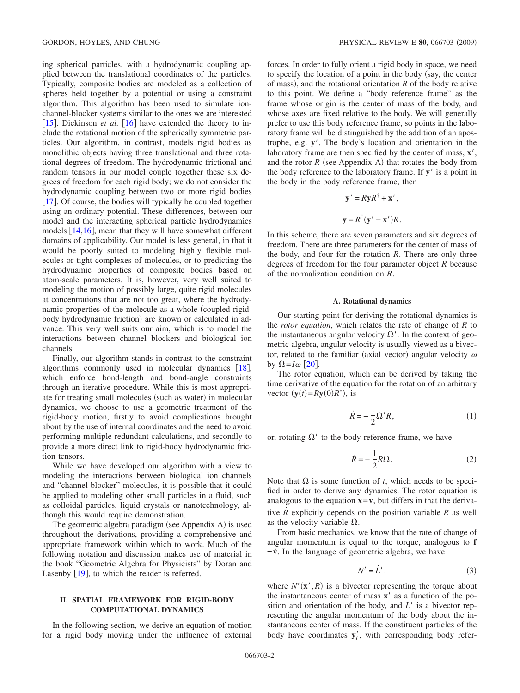ing spherical particles, with a hydrodynamic coupling applied between the translational coordinates of the particles. Typically, composite bodies are modeled as a collection of spheres held together by a potential or using a constraint algorithm. This algorithm has been used to simulate ionchannel-blocker systems similar to the ones we are interested [[15](#page-10-14)]. Dickinson *et al.* [[16](#page-10-15)] have extended the theory to include the rotational motion of the spherically symmetric particles. Our algorithm, in contrast, models rigid bodies as monolithic objects having three translational and three rotational degrees of freedom. The hydrodynamic frictional and random tensors in our model couple together these six degrees of freedom for each rigid body; we do not consider the hydrodynamic coupling between two or more rigid bodies [[17](#page-10-16)]. Of course, the bodies will typically be coupled together using an ordinary potential. These differences, between our model and the interacting spherical particle hydrodynamics models  $[14,16]$  $[14,16]$  $[14,16]$  $[14,16]$ , mean that they will have somewhat different domains of applicability. Our model is less general, in that it would be poorly suited to modeling highly flexible molecules or tight complexes of molecules, or to predicting the hydrodynamic properties of composite bodies based on atom-scale parameters. It is, however, very well suited to modeling the motion of possibly large, quite rigid molecules at concentrations that are not too great, where the hydrodynamic properties of the molecule as a whole (coupled rigidbody hydrodynamic friction) are known or calculated in advance. This very well suits our aim, which is to model the interactions between channel blockers and biological ion channels.

Finally, our algorithm stands in contrast to the constraint algorithms commonly used in molecular dynamics  $[18]$  $[18]$  $[18]$ , which enforce bond-length and bond-angle constraints through an iterative procedure. While this is most appropriate for treating small molecules (such as water) in molecular dynamics, we choose to use a geometric treatment of the rigid-body motion, firstly to avoid complications brought about by the use of internal coordinates and the need to avoid performing multiple redundant calculations, and secondly to provide a more direct link to rigid-body hydrodynamic friction tensors.

While we have developed our algorithm with a view to modeling the interactions between biological ion channels and "channel blocker" molecules, it is possible that it could be applied to modeling other small particles in a fluid, such as colloidal particles, liquid crystals or nanotechnology, although this would require demonstration.

The geometric algebra paradigm (see Appendix A) is used throughout the derivations, providing a comprehensive and appropriate framework within which to work. Much of the following notation and discussion makes use of material in the book "Geometric Algebra for Physicists" by Doran and Lasenby  $[19]$  $[19]$  $[19]$ , to which the reader is referred.

## **II. SPATIAL FRAMEWORK FOR RIGID-BODY COMPUTATIONAL DYNAMICS**

In the following section, we derive an equation of motion for a rigid body moving under the influence of external forces. In order to fully orient a rigid body in space, we need to specify the location of a point in the body (say, the center of mass), and the rotational orientation  $R$  of the body relative to this point. We define a "body reference frame" as the frame whose origin is the center of mass of the body, and whose axes are fixed relative to the body. We will generally prefer to use this body reference frame, so points in the laboratory frame will be distinguished by the addition of an apostrophe, e.g. **y**. The body's location and orientation in the laboratory frame are then specified by the center of mass, **x'**, and the rotor  $R$  (see Appendix A) that rotates the body from the body reference to the laboratory frame. If  $v'$  is a point in the body in the body reference frame, then

$$
\mathbf{y}' = R\mathbf{y}R^{\dagger} + \mathbf{x}',
$$

$$
\mathbf{y} = R^{\dagger}(\mathbf{y}' - \mathbf{x}')R.
$$

In this scheme, there are seven parameters and six degrees of freedom. There are three parameters for the center of mass of the body, and four for the rotation *R*. There are only three degrees of freedom for the four parameter object *R* because of the normalization condition on *R*.

### **A. Rotational dynamics**

Our starting point for deriving the rotational dynamics is the *rotor equation*, which relates the rate of change of *R* to the instantaneous angular velocity  $\Omega'$ . In the context of geometric algebra, angular velocity is usually viewed as a bivector, related to the familiar (axial vector) angular velocity  $\omega$ by  $\Omega = I\omega$  [[20](#page-11-1)].

The rotor equation, which can be derived by taking the time derivative of the equation for the rotation of an arbitrary vector  $(\mathbf{y}(t) = R\mathbf{y}(0)R^{\dagger})$ , is

$$
\dot{R} = -\frac{1}{2}\Omega'R,\tag{1}
$$

<span id="page-1-1"></span>or, rotating  $\Omega'$  to the body reference frame, we have

$$
\dot{R} = -\frac{1}{2}R\Omega.
$$
 (2)

Note that  $\Omega$  is some function of *t*, which needs to be specified in order to derive any dynamics. The rotor equation is analogous to the equation  $\dot{x} = v$ , but differs in that the derivative  $\hat{R}$  explicitly depends on the position variable  $R$  as well as the velocity variable  $\Omega$ .

From basic mechanics, we know that the rate of change of angular momentum is equal to the torque, analogous to **f**  $=\dot{v}$ . In the language of geometric algebra, we have

$$
N' = \dot{L}'.
$$
 (3)

<span id="page-1-0"></span>where  $N'(\mathbf{x}', R)$  is a bivector representing the torque about the instantaneous center of mass  $x'$  as a function of the position and orientation of the body, and L' is a bivector representing the angular momentum of the body about the instantaneous center of mass. If the constituent particles of the body have coordinates  $y_i'$ , with corresponding body refer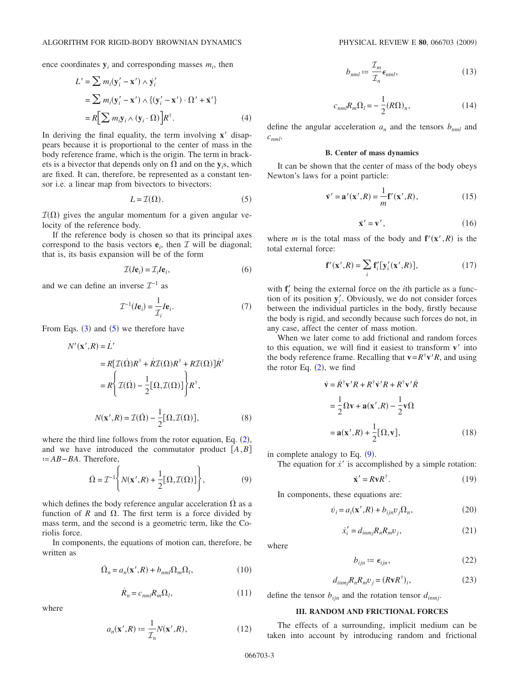ence coordinates  $y_i$  and corresponding masses  $m_i$ , then

$$
L' = \sum m_i(\mathbf{y}'_i - \mathbf{x}') \wedge \mathbf{y}'_i
$$
  
= 
$$
\sum m_i(\mathbf{y}'_i - \mathbf{x}') \wedge \{(\mathbf{y}'_i - \mathbf{x}') \cdot \Omega' + \mathbf{x}'\}
$$
  
= 
$$
R[\sum m_i \mathbf{y}_i \wedge (\mathbf{y}_i \cdot \Omega)] R^{\dagger}.
$$
 (4)

In deriving the final equality, the term involving  $x'$  disappears because it is proportional to the center of mass in the body reference frame, which is the origin. The term in brackets is a bivector that depends only on  $\Omega$  and on the  $y_i$ s, which are fixed. It can, therefore, be represented as a constant tensor i.e. a linear map from bivectors to bivectors:

$$
L = \mathcal{I}(\Omega). \tag{5}
$$

<span id="page-2-0"></span> $\mathcal{I}(\Omega)$  gives the angular momentum for a given angular velocity of the reference body.

If the reference body is chosen so that its principal axes correspond to the basis vectors  $\mathbf{e}_i$ , then  $\mathcal{I}$  will be diagonal; that is, its basis expansion will be of the form

$$
\mathcal{I}(I\mathbf{e}_i) = \mathcal{I}_i I\mathbf{e}_i,\tag{6}
$$

and we can define an inverse  $\mathcal{I}^{-1}$  as

$$
\mathcal{I}^{-1}(I\mathbf{e}_i) = \frac{1}{\mathcal{I}_i} I\mathbf{e}_i.
$$
 (7)

From Eqs.  $(3)$  $(3)$  $(3)$  and  $(5)$  $(5)$  $(5)$  we therefore have

$$
N'(\mathbf{x}',R) = \dot{L}'
$$
  
\n
$$
= R[\mathcal{I}(\dot{\Omega})R^{\dagger} + \dot{R}\mathcal{I}(\Omega)R^{\dagger} + R\mathcal{I}(\Omega)]\dot{R}^{\dagger}
$$
  
\n
$$
= R\left{\mathcal{I}(\dot{\Omega}) - \frac{1}{2}[\Omega,\mathcal{I}(\Omega)]\right}R^{\dagger},
$$
  
\n
$$
N(\mathbf{x}',R) = \mathcal{I}(\dot{\Omega}) - \frac{1}{2}[\Omega,\mathcal{I}(\Omega)],
$$
 (8)

<span id="page-2-1"></span>where the third line follows from the rotor equation, Eq.  $(2)$  $(2)$  $(2)$ , and we have introduced the commutator product  $[A, B]$ ª*AB*−*BA*. Therefore,

$$
\dot{\Omega} = \mathcal{I}^{-1} \left\{ N(\mathbf{x}', R) + \frac{1}{2} [\Omega, \mathcal{I}(\Omega)] \right\},\tag{9}
$$

which defines the body reference angular acceleration  $\Omega$  as a function of  $R$  and  $\Omega$ . The first term is a force divided by mass term, and the second is a geometric term, like the Coriolis force.

<span id="page-2-4"></span>In components, the equations of motion can, therefore, be written as

$$
\dot{\Omega}_n = a_n(\mathbf{x}', R) + b_{nml}\Omega_m\Omega_l,\tag{10}
$$

$$
\dot{R}_n = c_{nml} R_m \Omega_l, \qquad (11)
$$

<span id="page-2-5"></span>where

$$
a_n(\mathbf{x}',R) := \frac{1}{\mathcal{I}_n} N(\mathbf{x}',R),\tag{12}
$$

$$
b_{nml} := \frac{\mathcal{I}_m}{\mathcal{I}_n} \epsilon_{nml},\tag{13}
$$

$$
c_{nml}R_m\Omega_l = -\frac{1}{2}(R\Omega)_n,\tag{14}
$$

<span id="page-2-10"></span><span id="page-2-8"></span>define the angular acceleration  $a_n$  and the tensors  $b_{nml}$  and *cnml*.

#### **B. Center of mass dynamics**

It can be shown that the center of mass of the body obeys Newton's laws for a point particle:

$$
\dot{\mathbf{v}}' = \mathbf{a}'(\mathbf{x}', R) = \frac{1}{m} \mathbf{f}'(\mathbf{x}', R),
$$
 (15)

$$
\dot{\mathbf{x}}' = \mathbf{v}',\tag{16}
$$

<span id="page-2-2"></span>where *m* is the total mass of the body and  $f'(x', R)$  is the total external force:

$$
\mathbf{f}'(\mathbf{x}',R) = \sum_{i} \mathbf{f}'_i[\mathbf{y}'_i(\mathbf{x}',R)],\tag{17}
$$

with  $f_i'$  being the external force on the *i*th particle as a function of its position  $y_i'$ . Obviously, we do not consider forces between the individual particles in the body, firstly because the body is rigid, and secondly because such forces do not, in any case, affect the center of mass motion.

<span id="page-2-3"></span>When we later come to add frictional and random forces to this equation, we will find it easiest to transform **v**' into the body reference frame. Recalling that  $\mathbf{v} = R^{\dagger} \mathbf{v}' R$ , and using the rotor Eq.  $(2)$  $(2)$  $(2)$ , we find

$$
\dot{\mathbf{v}} = \dot{R}^{\dagger} \mathbf{v}' R + R^{\dagger} \dot{\mathbf{v}}' R + R^{\dagger} \mathbf{v}' \dot{R}
$$

$$
= \frac{1}{2} \Omega \mathbf{v} + \mathbf{a}(\mathbf{x}', R) - \frac{1}{2} \mathbf{v} \Omega
$$

$$
= \mathbf{a}(\mathbf{x}', R) + \frac{1}{2} [\Omega, \mathbf{v}], \qquad (18)
$$

in complete analogy to Eq.  $(9)$  $(9)$  $(9)$ .

The equation for  $\dot{x}'$  is accomplished by a simple rotation:

$$
\dot{\mathbf{x}}' = R\mathbf{v}R^{\dagger}.\tag{19}
$$

<span id="page-2-6"></span>In components, these equations are:

$$
\dot{v}_i = a_i(\mathbf{x}', R) + b_{ijn}v_j \Omega_n,\tag{20}
$$

$$
\dot{x}'_i = d_{inmj} R_n R_m v_j,\tag{21}
$$

<span id="page-2-9"></span><span id="page-2-7"></span>where

$$
b_{ijn} := \epsilon_{ijn},\tag{22}
$$

$$
d_{inmj}R_nR_mv_j = (R\mathbf{v}R^\dagger)_i,\tag{23}
$$

<span id="page-2-11"></span>define the tensor  $b_{i j n}$  and the rotation tensor  $d_{i n m i}$ .

#### **III. RANDOM AND FRICTIONAL FORCES**

<span id="page-2-12"></span>The effects of a surrounding, implicit medium can be taken into account by introducing random and frictional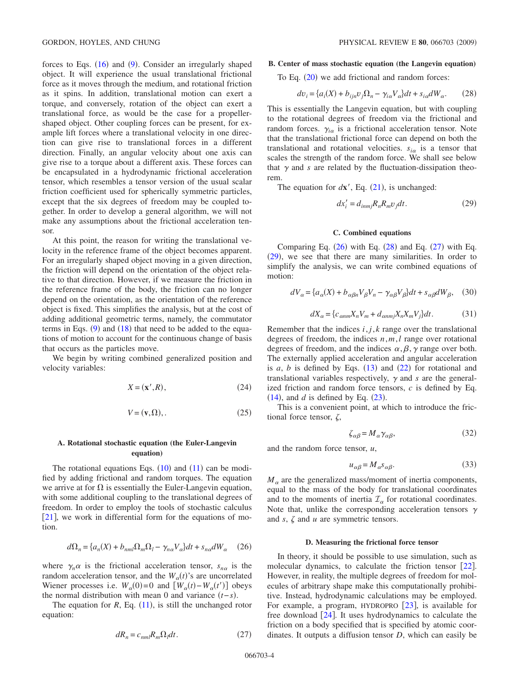forces to Eqs.  $(16)$  $(16)$  $(16)$  and  $(9)$  $(9)$  $(9)$ . Consider an irregularly shaped object. It will experience the usual translational frictional force as it moves through the medium, and rotational friction as it spins. In addition, translational motion can exert a torque, and conversely, rotation of the object can exert a translational force, as would be the case for a propellershaped object. Other coupling forces can be present, for example lift forces where a translational velocity in one direction can give rise to translational forces in a different direction. Finally, an angular velocity about one axis can give rise to a torque about a different axis. These forces can be encapsulated in a hydrodynamic frictional acceleration tensor, which resembles a tensor version of the usual scalar friction coefficient used for spherically symmetric particles, except that the six degrees of freedom may be coupled together. In order to develop a general algorithm, we will not make any assumptions about the frictional acceleration tensor.

At this point, the reason for writing the translational velocity in the reference frame of the object becomes apparent. For an irregularly shaped object moving in a given direction, the friction will depend on the orientation of the object relative to that direction. However, if we measure the friction in the reference frame of the body, the friction can no longer depend on the orientation, as the orientation of the reference object is fixed. This simplifies the analysis, but at the cost of adding additional geometric terms, namely, the commutator terms in Eqs.  $(9)$  $(9)$  $(9)$  and  $(18)$  $(18)$  $(18)$  that need to be added to the equations of motion to account for the continuous change of basis that occurs as the particles move.

<span id="page-3-6"></span>We begin by writing combined generalized position and velocity variables:

$$
X = (\mathbf{x}', R),\tag{24}
$$

$$
V = (\mathbf{v}, \Omega), \tag{25}
$$

### <span id="page-3-7"></span>**A. Rotational stochastic equation (the Euler-Langevin equation)**

The rotational equations Eqs.  $(10)$  $(10)$  $(10)$  and  $(11)$  $(11)$  $(11)$  can be modified by adding frictional and random torques. The equation we arrive at for  $\Omega$  is essentially the Euler-Langevin equation, with some additional coupling to the translational degrees of freedom. In order to employ the tools of stochastic calculus  $[21]$  $[21]$  $[21]$ , we work in differential form for the equations of motion.

$$
d\Omega_n = \{a_n(X) + b_{nml}\Omega_m\Omega_l - \gamma_{n\alpha}V_{\alpha}\}dt + s_{n\alpha}dW_{\alpha} \quad (26)
$$

<span id="page-3-0"></span>where  $\gamma_n \alpha$  is the frictional acceleration tensor,  $s_{n\alpha}$  is the random acceleration tensor, and the  $W_a(t)$ 's are uncorrelated Wiener processes i.e.  $W_{\alpha}(0) = 0$  and  $[W_{\alpha}(t) - W_{\alpha}(t')]$  obeys the normal distribution with mean 0 and variance  $(t-s)$ .

<span id="page-3-2"></span>The equation for  $R$ , Eq.  $(11)$  $(11)$  $(11)$ , is still the unchanged rotor equation:

$$
dR_n = c_{nml} R_m \Omega_l dt. \tag{27}
$$

## **B. Center of mass stochastic equation (the Langevin equation)**

<span id="page-3-1"></span>To Eq.  $(20)$  $(20)$  $(20)$  we add frictional and random forces:

$$
dv_i = \{a_i(X) + b_{ijn}v_j\Omega_n - \gamma_{i\alpha}V_{\alpha}\}dt + s_{i\alpha}dW_{\alpha}.
$$
 (28)

This is essentially the Langevin equation, but with coupling to the rotational degrees of freedom via the frictional and random forces.  $\gamma_{i\alpha}$  is a frictional acceleration tensor. Note that the translational frictional force can depend on both the translational and rotational velocities.  $s_{i\alpha}$  is a tensor that scales the strength of the random force. We shall see below that  $\gamma$  and *s* are related by the fluctuation-dissipation theorem.

<span id="page-3-3"></span>The equation for  $d\mathbf{x}'$ , Eq.  $(21)$  $(21)$  $(21)$ , is unchanged:

$$
dx_i' = d_{inmj}R_n R_m v_j dt. \t\t(29)
$$

## **C. Combined equations**

Comparing Eq.  $(26)$  $(26)$  $(26)$  with Eq.  $(28)$  $(28)$  $(28)$  and Eq.  $(27)$  $(27)$  $(27)$  with Eq.  $(29)$  $(29)$  $(29)$ , we see that there are many similarities. In order to simplify the analysis, we can write combined equations of motion:

<span id="page-3-4"></span>
$$
dV_{\alpha} = \{a_{\alpha}(X) + b_{\alpha\beta n}V_{\beta}V_{n} - \gamma_{\alpha\beta}V_{\beta}\}dt + s_{\alpha\beta}dW_{\beta}, \quad (30)
$$

$$
dX_{\alpha} = \{c_{\alpha n m} X_n V_m + d_{\alpha n m j} X_n X_m V_j\} dt.
$$
 (31)

<span id="page-3-5"></span>Remember that the indices *i*, *j*,*k* range over the translational degrees of freedom, the indices *n*,*m*,*l* range over rotational degrees of freedom, and the indices  $\alpha$ ,  $\beta$ ,  $\gamma$  range over both. The externally applied acceleration and angular acceleration is  $a, b$  is defined by Eqs.  $(13)$  $(13)$  $(13)$  and  $(22)$  $(22)$  $(22)$  for rotational and translational variables respectively,  $\gamma$  and *s* are the generalized friction and random force tensors, *c* is defined by Eq.  $(14)$  $(14)$  $(14)$ , and *d* is defined by Eq.  $(23)$  $(23)$  $(23)$ .

This is a convenient point, at which to introduce the frictional force tensor,  $\zeta$ ,

$$
\zeta_{\alpha\beta} = M_{\alpha} \gamma_{\alpha\beta},\tag{32}
$$

and the random force tensor, *u*,

$$
u_{\alpha\beta} = M_{\alpha} s_{\alpha\beta}.
$$
 (33)

 $M_{\alpha}$  are the generalized mass/moment of inertia components, equal to the mass of the body for translational coordinates and to the moments of inertia  $\mathcal{I}_{\alpha}$  for rotational coordinates. Note that, unlike the corresponding acceleration tensors  $\gamma$ and  $s$ ,  $\zeta$  and  $u$  are symmetric tensors.

#### **D. Measuring the frictional force tensor**

In theory, it should be possible to use simulation, such as molecular dynamics, to calculate the friction tensor  $[22]$  $[22]$  $[22]$ . However, in reality, the multiple degrees of freedom for molecules of arbitrary shape make this computationally prohibitive. Instead, hydrodynamic calculations may be employed. For example, a program, HYDROPRO  $[23]$  $[23]$  $[23]$ , is available for free download  $[24]$  $[24]$  $[24]$ . It uses hydrodynamics to calculate the friction on a body specified that is specified by atomic coordinates. It outputs a diffusion tensor *D*, which can easily be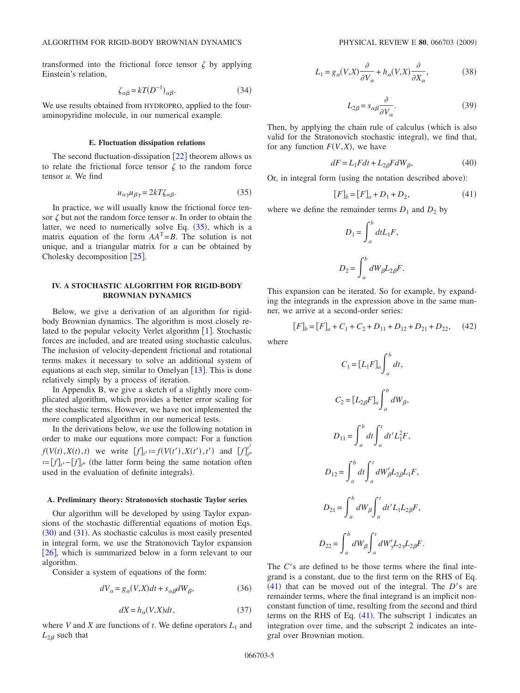transformed into the frictional force tensor  $\zeta$  by applying Einstein's relation,

$$
\zeta_{\alpha\beta} = kT(D^{-1})_{\alpha\beta}.\tag{34}
$$

<span id="page-4-3"></span>We use results obtained from HYDROPRO, applied to the fouraminopyridine molecule, in our numerical example.

#### **E. Fluctuation dissipation relations**

The second fluctuation-dissipation  $[22]$  $[22]$  $[22]$  theorem allows us to relate the frictional force tensor  $\zeta$  to the random force tensor *u*. We find

$$
u_{\alpha\gamma}u_{\beta\gamma} = 2kT\zeta_{\alpha\beta}.\tag{35}
$$

<span id="page-4-0"></span>In practice, we will usually know the frictional force tensor  $\zeta$  but not the random force tensor  $u$ . In order to obtain the latter, we need to numerically solve Eq.  $(35)$  $(35)$  $(35)$ , which is a matrix equation of the form  $AA<sup>T</sup>=B$ . The solution is not unique, and a triangular matrix for *u* can be obtained by Cholesky decomposition  $[25]$  $[25]$  $[25]$ .

## **IV. A STOCHASTIC ALGORITHM FOR RIGID-BODY BROWNIAN DYNAMICS**

Below, we give a derivation of an algorithm for rigidbody Brownian dynamics. The algorithm is most closely related to the popular velocity Verlet algorithm  $\lceil 1 \rceil$  $\lceil 1 \rceil$  $\lceil 1 \rceil$ . Stochastic forces are included, and are treated using stochastic calculus. The inclusion of velocity-dependent frictional and rotational terms makes it necessary to solve an additional system of equations at each step, similar to Omelyan  $\lceil 13 \rceil$  $\lceil 13 \rceil$  $\lceil 13 \rceil$ . This is done relatively simply by a process of iteration.

In Appendix B, we give a sketch of a slightly more complicated algorithm, which provides a better error scaling for the stochastic terms. However, we have not implemented the more complicated algorithm in our numerical tests.

In the derivations below, we use the following notation in order to make our equations more compact: For a function  $f(V(t), X(t), t)$  we write  $[f]_{t'} := f(V(t'), X(t'), t')$  and  $[f]_{t''}^{t'}$ *i*=[*f*]<sub>*t'*</sub> −[*f*]<sub>*t''*</sub> (the latter form being the same notation often used in the evaluation of definite integrals).

### <span id="page-4-2"></span>**A. Preliminary theory: Stratonovich stochastic Taylor series**

Our algorithm will be developed by using Taylor expansions of the stochastic differential equations of motion Eqs.  $(30)$  $(30)$  $(30)$  and  $(31)$  $(31)$  $(31)$ . As stochastic calculus is most easily presented in integral form, we use the Stratonovich Taylor expansion [[26](#page-11-7)], which is summarized below in a form relevant to our algorithm.

Consider a system of equations of the form:

$$
dV_{\alpha} = g_{\alpha}(V, X)dt + s_{\alpha\beta}dW_{\beta},
$$
\n(36)

$$
dX = h_{\alpha}(V, X)dt, \tag{37}
$$

where *V* and *X* are functions of *t*. We define operators  $L_1$  and  $L_{2\beta}$  such that

$$
L_1 = g_\alpha(V, X) \frac{\partial}{\partial V_\alpha} + h_\alpha(V, X) \frac{\partial}{\partial X_\alpha},\tag{38}
$$

$$
L_{2\beta} = s_{\alpha\beta} \frac{\partial}{\partial V_{\alpha}}.\tag{39}
$$

Then, by applying the chain rule of calculus (which is also valid for the Stratonovich stochastic integral), we find that, for any function  $F(V, X)$ , we have

$$
dF = L_1Fdt + L_{2\beta}FdW_{\beta},\tag{40}
$$

<span id="page-4-1"></span>Or, in integral form (using the notation described above):

$$
[F]_b = [F]_a + D_1 + D_2, \tag{41}
$$

where we define the remainder terms  $D_1$  and  $D_2$  by

$$
D_1 = \int_a^b dt L_1 F,
$$
  

$$
D_2 = \int_a^b dW_{\beta} L_{2\beta} F.
$$

This expansion can be iterated. So for example, by expanding the integrands in the expression above in the same manner, we arrive at a second-order series:

$$
[F]_b = [F]_a + C_1 + C_2 + D_{11} + D_{12} + D_{21} + D_{22}, \quad (42)
$$

where

$$
C_{1} = [L_{1}F]_{a} \int_{a}^{b} dt,
$$
  
\n
$$
C_{2} = [L_{2\beta}F]_{a} \int_{a}^{b} dW_{\beta},
$$
  
\n
$$
D_{11} = \int_{a}^{b} dt \int_{a}^{t} dt'L_{1}^{2}F,
$$
  
\n
$$
D_{12} = \int_{a}^{b} dt \int_{a}^{t} dW'_{\beta}L_{2\beta}L_{1}F,
$$
  
\n
$$
D_{21} = \int_{a}^{b} dW_{\beta} \int_{a}^{t} dt'L_{1}L_{2\beta}F,
$$
  
\n
$$
D_{22} = \int_{a}^{b} dW_{\beta} \int_{a}^{t} dt' L_{1}L_{2\beta}F.
$$

The *C*'s are defined to be those terms where the final integrand is a constant, due to the first term on the RHS of Eq.  $(41)$  $(41)$  $(41)$  that can be moved out of the integral. The  $D$ 's are remainder terms, where the final integrand is an implicit nonconstant function of time, resulting from the second and third terms on the RHS of Eq.  $(41)$  $(41)$  $(41)$ . The subscript 1 indicates an integration over time, and the subscript 2 indicates an integral over Brownian motion.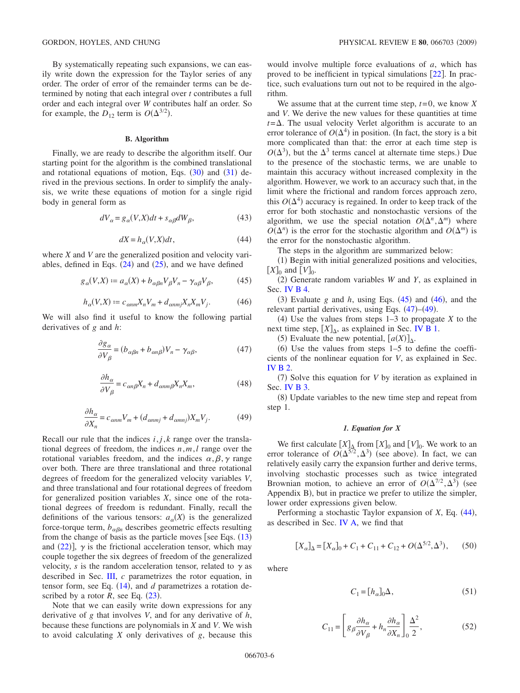By systematically repeating such expansions, we can easily write down the expression for the Taylor series of any order. The order of error of the remainder terms can be determined by noting that each integral over *t* contributes a full order and each integral over *W* contributes half an order. So for example, the  $D_{12}$  term is  $O(\Delta^{3/2})$ .

#### **B. Algorithm**

Finally, we are ready to describe the algorithm itself. Our starting point for the algorithm is the combined translational and rotational equations of motion, Eqs.  $(30)$  $(30)$  $(30)$  and  $(31)$  $(31)$  $(31)$  derived in the previous sections. In order to simplify the analysis, we write these equations of motion for a single rigid body in general form as

$$
dV_{\alpha} = g_{\alpha}(V, X)dt + s_{\alpha\beta}dW_{\beta},\tag{43}
$$

$$
dX = h_{\alpha}(V, X)dt, \tag{44}
$$

<span id="page-5-5"></span><span id="page-5-0"></span>where *X* and *V* are the generalized position and velocity variables, defined in Eqs.  $(24)$  $(24)$  $(24)$  and  $(25)$  $(25)$  $(25)$ , and we have defined

$$
g_{\alpha}(V, X) := a_{\alpha}(X) + b_{\alpha\beta n} V_{\beta} V_n - \gamma_{\alpha\beta} V_{\beta},
$$
 (45)

$$
h_{\alpha}(V, X) := c_{\alpha n m} X_n V_m + d_{\alpha n m j} X_n X_m V_j. \tag{46}
$$

<span id="page-5-2"></span><span id="page-5-1"></span>We will also find it useful to know the following partial derivatives of *g* and *h*:

$$
\frac{\partial g_{\alpha}}{\partial V_{\beta}} = (b_{\alpha\beta n} + b_{\alpha n\beta})V_{n} - \gamma_{\alpha\beta},
$$
\n(47)

$$
\frac{\partial h_{\alpha}}{\partial V_{\beta}} = c_{\alpha n\beta} X_n + d_{\alpha n m\beta} X_n X_m, \qquad (48)
$$

$$
\frac{\partial h_{\alpha}}{\partial X_n} = c_{\alpha n m} V_m + (d_{\alpha n m j} + d_{\alpha m n j}) X_m V_j. \tag{49}
$$

<span id="page-5-3"></span>Recall our rule that the indices *i*, *j*,*k* range over the translational degrees of freedom, the indices *n*,*m*,*l* range over the rotational variables freedom, and the indices  $\alpha, \beta, \gamma$  range over both. There are three translational and three rotational degrees of freedom for the generalized velocity variables *V*, and three translational and four rotational degrees of freedom for generalized position variables *X*, since one of the rotational degrees of freedom is redundant. Finally, recall the definitions of the various tensors:  $a_{\alpha}(X)$  is the generalized force-torque term,  $b_{\alpha\beta n}$  describes geometric effects resulting from the change of basis as the particle moves [see Eqs.  $(13)$  $(13)$  $(13)$ and  $(22)$  $(22)$  $(22)$ ],  $\gamma$  is the frictional acceleration tensor, which may couple together the six degrees of freedom of the generalized velocity, *s* is the random acceleration tensor, related to  $\gamma$  as described in Sec. [III,](#page-2-12) *c* parametrizes the rotor equation, in tensor form, see Eq.  $(14)$  $(14)$  $(14)$ , and  $d$  parametrizes a rotation described by a rotor  $R$ , see Eq.  $(23)$  $(23)$  $(23)$ .

Note that we can easily write down expressions for any derivative of *g* that involves *V*, and for any derivative of *h*, because these functions are polynomials in *X* and *V*. We wish to avoid calculating *X* only derivatives of *g*, because this would involve multiple force evaluations of *a*, which has proved to be inefficient in typical simulations  $[22]$  $[22]$  $[22]$ . In practice, such evaluations turn out not to be required in the algorithm.

We assume that at the current time step, *t*=0, we know *X* and *V*. We derive the new values for these quantities at time  $t = \Delta$ . The usual velocity Verlet algorithm is accurate to an error tolerance of  $O(\Delta^4)$  in position. (In fact, the story is a bit more complicated than that: the error at each time step is  $O(\Delta^3)$ , but the  $\Delta^3$  terms cancel at alternate time steps.) Due to the presence of the stochastic terms, we are unable to maintain this accuracy without increased complexity in the algorithm. However, we work to an accuracy such that, in the limit where the frictional and random forces approach zero, this  $O(\Delta^4)$  accuracy is regained. In order to keep track of the error for both stochastic and nonstochastic versions of the algorithm, we use the special notation  $O(\Delta^n, \Delta^m)$  where  $O(\Delta^n)$  is the error for the stochastic algorithm and  $O(\Delta^m)$  is the error for the nonstochastic algorithm.

The steps in the algorithm are summarized below:

(1) Begin with initial generalized positions and velocities,  $[X]_0$  and  $[V]_0$ .

 $(2)$  Generate random variables *W* and *Y*, as explained in Sec. [IV B 4.](#page-6-0)

(3) Evaluate  $g$  and  $h$ , using Eqs. ([45](#page-5-0)) and ([46](#page-5-1)), and the relevant partial derivatives, using Eqs.  $(47)$  $(47)$  $(47)$ – $(49)$  $(49)$  $(49)$ .

(4) Use the values from steps  $1-3$  to propagate  $X$  to the next time step,  $[X]_A$ , as explained in Sec. **IV B** 1.

(5) Evaluate the new potential,  $[a(X)]_{\Delta}$ .

 $(6)$  Use the values from steps 1–5 to define the coefficients of the nonlinear equation for *V*, as explained in Sec. [IV B 2.](#page-6-1)

 $(7)$  Solve this equation for *V* by iteration as explained in Sec. [IV B 3.](#page-6-2)

(8) Update variables to the new time step and repeat from step 1.

### *1. Equation for X*

<span id="page-5-4"></span>We first calculate  $[X]_0$  from  $[X]_0$  and  $[V]_0$ . We work to an error tolerance of  $O(\Delta^{5/2}, \Delta^3)$  (see above). In fact, we can relatively easily carry the expansion further and derive terms, involving stochastic processes such as twice integrated Brownian motion, to achieve an error of  $O(\Delta^{7/2}, \Delta^3)$  (see Appendix B), but in practice we prefer to utilize the simpler, lower order expressions given below.

Performing a stochastic Taylor expansion of *X*, Eq. ([44](#page-5-5)), as described in Sec. [IV A,](#page-4-2) we find that

$$
[X_{\alpha}]_{\Delta} = [X_{\alpha}]_0 + C_1 + C_{11} + C_{12} + O(\Delta^{5/2}, \Delta^3), \quad (50)
$$

where

$$
C_1 = [h_{\alpha}]_0 \Delta, \tag{51}
$$

$$
C_{11} = \left[ g_{\beta} \frac{\partial h_{\alpha}}{\partial V_{\beta}} + h_{n} \frac{\partial h_{\alpha}}{\partial X_{n}} \right]_{0} \frac{\Delta^{2}}{2}, \qquad (52)
$$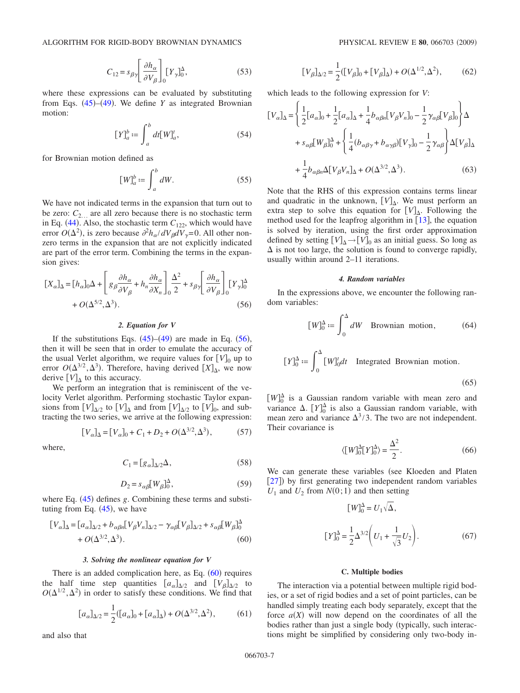ALGORITHM FOR RIGID-BODY BROWNIAN DYNAMICS

$$
C_{12} = s_{\beta\gamma} \left[ \frac{\partial h_{\alpha}}{\partial V_{\beta}} \right]_{0} \left[ Y_{\gamma} \right]_{0}^{\Delta},\tag{53}
$$

where these expressions can be evaluated by substituting from Eqs.  $(45)$  $(45)$  $(45)$ – $(49)$  $(49)$  $(49)$ . We define *Y* as integrated Brownian motion:

$$
[Y]_a^b := \int_a^b dt [W]_a^t,
$$
 (54)

for Brownian motion defined as

$$
[W]_a^b := \int_a^b dW.
$$
 (55)

We have not indicated terms in the expansion that turn out to be zero:  $C_2$  are all zero because there is no stochastic term in Eq.  $(44)$  $(44)$  $(44)$ . Also, the stochastic term  $C_{122}$ , which would have error  $O(\Delta^2)$ , is zero because  $\partial^2 h_{\alpha}/dV_{\beta}dV_{\gamma} = 0$ . All other nonzero terms in the expansion that are not explicitly indicated are part of the error term. Combining the terms in the expansion gives:

<span id="page-6-3"></span>
$$
\begin{aligned} \left[X_{\alpha}\right]_{\Delta} &= \left[h_{\alpha}\right]_{0}\Delta + \left[g_{\beta}\frac{\partial h_{\alpha}}{\partial V_{\beta}} + h_{n}\frac{\partial h_{\alpha}}{\partial X_{n}}\right]_{0}\frac{\Delta^{2}}{2} + s_{\beta\gamma} \left[\frac{\partial h_{\alpha}}{\partial V_{\beta}}\right]_{0}\left[Y_{\gamma}\right]_{0}^{\Delta} \\ &+ O(\Delta^{5/2}, \Delta^{3}). \end{aligned} \tag{56}
$$

### *2. Equation for V*

<span id="page-6-1"></span>If the substitutions Eqs.  $(45)$  $(45)$  $(45)$ – $(49)$  $(49)$  $(49)$  are made in Eq.  $(56)$  $(56)$  $(56)$ , then it will be seen that in order to emulate the accuracy of the usual Verlet algorithm, we require values for  $[V]_0$  up to error  $O(\Delta^{3/2}, \Delta^3)$ . Therefore, having derived  $[X]_{\Delta}$ , we now derive  $[V]_A$  to this accuracy.

We perform an integration that is reminiscent of the velocity Verlet algorithm. Performing stochastic Taylor expansions from  $[V]_{\Delta/2}$  to  $[V]_{\Delta}$  and from  $[V]_{\Delta/2}$  to  $[V]_0$ , and subtracting the two series, we arrive at the following expression:

$$
[V_{\alpha}]_{\Delta} = [V_{\alpha}]_0 + C_1 + D_2 + O(\Delta^{3/2}, \Delta^3), \tag{57}
$$

<span id="page-6-5"></span>where,

$$
C_1 = [g_\alpha]_{\Delta/2} \Delta,\tag{58}
$$

$$
D_2 = s_{\alpha\beta} [W_{\beta}]_0^{\Delta},\tag{59}
$$

where Eq.  $(45)$  $(45)$  $(45)$  defines  $g$ . Combining these terms and substituting from Eq.  $(45)$  $(45)$  $(45)$ , we have

<span id="page-6-4"></span>
$$
\begin{aligned} \left[V_{\alpha}\right]_{\Delta} &= \left[a_{\alpha}\right]_{\Delta/2} + b_{\alpha\beta n} \left[V_{\beta}V_{n}\right]_{\Delta/2} - \gamma_{\alpha\beta} \left[V_{\beta}\right]_{\Delta/2} + s_{\alpha\beta} \left[W_{\beta}\right]_{0}^{\Delta} \\ &+ O(\Delta^{3/2}, \Delta^{3}). \end{aligned} \tag{60}
$$

### *3. Solving the nonlinear equation for V*

<span id="page-6-2"></span>There is an added complication here, as Eq.  $(60)$  $(60)$  $(60)$  requires the half time step quantities  $[a_{\alpha}]_{\Delta/2}$  and  $[V_{\beta}]_{\Delta/2}$  to  $O(\Delta^{1/2}, \Delta^2)$  in order to satisfy these conditions. We find that

$$
[a_{\alpha}]_{\Delta/2} = \frac{1}{2} ([a_{\alpha}]_0 + [a_{\alpha}]_{\Delta}) + O(\Delta^{3/2}, \Delta^2), \tag{61}
$$

and also that

$$
[V_{\beta}]_{\Delta/2} = \frac{1}{2} ([V_{\beta}]_0 + [V_{\beta}]_{\Delta}) + O(\Delta^{1/2}, \Delta^2), \tag{62}
$$

<span id="page-6-6"></span>which leads to the following expression for *V*:

$$
[V_{\alpha}]_{\Delta} = \left\{ \frac{1}{2} [a_{\alpha}]_{0} + \frac{1}{2} [a_{\alpha}]_{\Delta} + \frac{1}{4} b_{\alpha\beta n} [V_{\beta} V_{n}]_{0} - \frac{1}{2} \gamma_{\alpha\beta} [V_{\beta}]_{0} \right\} \Delta
$$
  
+  $s_{\alpha\beta} [W_{\beta}]_{0}^{\Delta} + \left\{ \frac{1}{4} (b_{\alpha\beta\gamma} + b_{\alpha\gamma\beta}) [V_{\gamma}]_{0} - \frac{1}{2} \gamma_{\alpha\beta} \right\} \Delta [V_{\beta}]_{\Delta}$   
+  $\frac{1}{4} b_{\alpha\beta n} \Delta [V_{\beta} V_{n}]_{\Delta} + O(\Delta^{3/2}, \Delta^{3}).$  (63)

Note that the RHS of this expression contains terms linear and quadratic in the unknown,  $[V]_A$ . We must perform an extra step to solve this equation for  $[V]_{\Delta}$ . Following the method used for the leapfrog algorithm in  $[13]$  $[13]$  $[13]$ , the equation is solved by iteration, using the first order approximation defined by setting  $[V]_A \rightarrow [V]_0$  as an initial guess. So long as  $\Delta$  is not too large, the solution is found to converge rapidly, usually within around 2–11 iterations.

#### *4. Random variables*

<span id="page-6-0"></span>In the expressions above, we encounter the following random variables:

$$
[W]_0^{\Delta} \coloneqq \int_0^{\Delta} dW \quad \text{Brownian motion,} \tag{64}
$$

$$
[Y]_0^{\Delta} := \int_0^{\Delta} [W]_0^t dt
$$
 Integrated Brownian motion. (65)

 $[W]_0^{\Delta}$  is a Gaussian random variable with mean zero and variance  $\Delta$ .  $[Y]_0^{\Delta}$  is also a Gaussian random variable, with mean zero and variance  $\Delta^3/3$ . The two are not independent. Their covariance is

$$
\langle [W]_0^{\Delta} [Y]_0^{\Delta} \rangle = \frac{\Delta^2}{2}.
$$
 (66)

We can generate these variables (see Kloeden and Platen [[27](#page-11-8)]) by first generating two independent random variables  $U_1$  and  $U_2$  from  $N(0, 1)$  and then setting

$$
[W]_0^{\Delta} = U_1 \sqrt{\Delta},
$$
  

$$
[Y]_0^{\Delta} = \frac{1}{2} \Delta^{3/2} \left( U_1 + \frac{1}{\sqrt{3}} U_2 \right).
$$
 (67)

#### **C. Multiple bodies**

The interaction via a potential between multiple rigid bodies, or a set of rigid bodies and a set of point particles, can be handled simply treating each body separately, except that the force  $a(X)$  will now depend on the coordinates of all the bodies rather than just a single body (typically, such interactions might be simplified by considering only two-body in-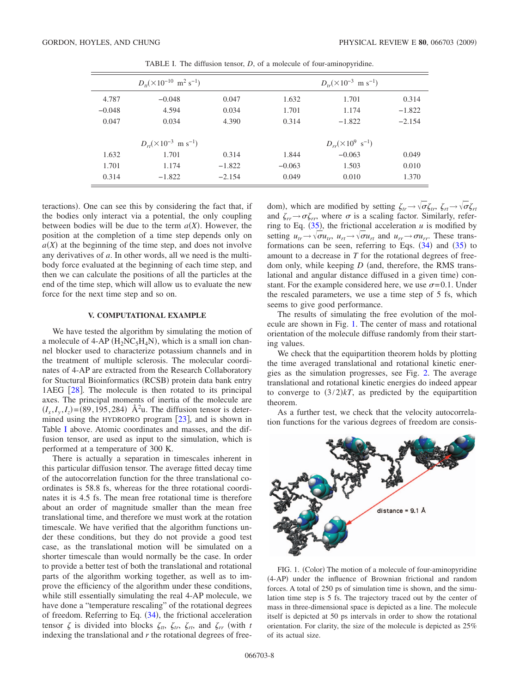<span id="page-7-0"></span>

| $D_{tt}(\times 10^{-10} \text{ m}^2 \text{ s}^{-1})$ |          |          |          | $D_{tr}(\times 10^{-3} \text{ m s}^{-1})$ |          |  |
|------------------------------------------------------|----------|----------|----------|-------------------------------------------|----------|--|
| 4.787                                                | $-0.048$ | 0.047    | 1.632    | 1.701                                     | 0.314    |  |
| $-0.048$                                             | 4.594    | 0.034    | 1.701    | 1.174                                     | $-1.822$ |  |
| 0.047                                                | 0.034    | 4.390    | 0.314    | $-1.822$                                  | $-2.154$ |  |
| $D_{r}(\times 10^{-3} \text{ m s}^{-1})$             |          |          |          | $D_{rr}(\times 10^9 \text{ s}^{-1})$      |          |  |
| 1.632                                                | 1.701    | 0.314    | 1.844    | $-0.063$                                  | 0.049    |  |
| 1.701                                                | 1.174    | $-1.822$ | $-0.063$ | 1.503                                     | 0.010    |  |
| 0.314                                                | $-1.822$ | $-2.154$ | 0.049    | 0.010                                     | 1.370    |  |

TABLE I. The diffusion tensor, *D*, of a molecule of four-aminopyridine.

teractions). One can see this by considering the fact that, if the bodies only interact via a potential, the only coupling between bodies will be due to the term  $a(X)$ . However, the position at the completion of a time step depends only on  $a(X)$  at the beginning of the time step, and does not involve any derivatives of *a*. In other words, all we need is the multibody force evaluated at the beginning of each time step, and then we can calculate the positions of all the particles at the end of the time step, which will allow us to evaluate the new force for the next time step and so on.

### **V. COMPUTATIONAL EXAMPLE**

We have tested the algorithm by simulating the motion of a molecule of  $4$ -AP ( $H_2NC_5H_4N$ ), which is a small ion channel blocker used to characterize potassium channels and in the treatment of multiple sclerosis. The molecular coordinates of 4-AP are extracted from the Research Collaboratory for Stuctural Bioinformatics (RCSB) protein data bank entry 1AEG  $[28]$  $[28]$  $[28]$ . The molecule is then rotated to its principal axes. The principal moments of inertia of the molecule are  $(I_x, I_y, I_z)$  = (89,195,284) Å<sup>2</sup>u. The diffusion tensor is determined using the HYDROPRO program  $[23]$  $[23]$  $[23]$ , and is shown in Table [I](#page-7-0) above. Atomic coordinates and masses, and the diffusion tensor, are used as input to the simulation, which is performed at a temperature of 300 K.

There is actually a separation in timescales inherent in this particular diffusion tensor. The average fitted decay time of the autocorrelation function for the three translational coordinates is 58.8 fs, whereas for the three rotational coordinates it is 4.5 fs. The mean free rotational time is therefore about an order of magnitude smaller than the mean free translational time, and therefore we must work at the rotation timescale. We have verified that the algorithm functions under these conditions, but they do not provide a good test case, as the translational motion will be simulated on a shorter timescale than would normally be the case. In order to provide a better test of both the translational and rotational parts of the algorithm working together, as well as to improve the efficiency of the algorithm under these conditions, while still essentially simulating the real 4-AP molecule, we have done a "temperature rescaling" of the rotational degrees of freedom. Referring to Eq. ([34](#page-4-3)), the frictional acceleration tensor  $\zeta$  is divided into blocks  $\zeta_{tt}$ ,  $\zeta_{tr}$ ,  $\zeta_{rt}$ , and  $\zeta_{rr}$  (with *t* indexing the translational and *r* the rotational degrees of free-

dom), which are modified by setting  $\zeta_{tr} \rightarrow \sqrt{\sigma} \zeta_{tr}, \zeta_{rt} \rightarrow \sqrt{\sigma} \zeta_{rt}$ and  $\zeta_{rr} \rightarrow \sigma \zeta_{rr}$ , where  $\sigma$  is a scaling factor. Similarly, referring to Eq.  $(35)$  $(35)$  $(35)$ , the frictional acceleration *u* is modified by setting  $u_{tr} \rightarrow \sqrt{\sigma} u_{tr}$ ,  $u_{rt} \rightarrow \sqrt{\sigma} u_{rt}$  and  $u_{rr} \rightarrow \sigma u_{rr}$ . These transformations can be seen, referring to Eqs.  $(34)$  $(34)$  $(34)$  and  $(35)$  $(35)$  $(35)$  to amount to a decrease in *T* for the rotational degrees of freedom only, while keeping  $D$  (and, therefore, the RMS translational and angular distance diffused in a given time) constant. For the example considered here, we use  $\sigma$ =0.1. Under the rescaled parameters, we use a time step of 5 fs, which seems to give good performance.

The results of simulating the free evolution of the molecule are shown in Fig. [1.](#page-7-1) The center of mass and rotational orientation of the molecule diffuse randomly from their starting values.

We check that the equipartition theorem holds by plotting the time averaged translational and rotational kinetic energies as the simulation progresses, see Fig. [2.](#page-8-0) The average translational and rotational kinetic energies do indeed appear to converge to  $(3/2)kT$ , as predicted by the equipartition theorem.

As a further test, we check that the velocity autocorrelation functions for the various degrees of freedom are consis-

<span id="page-7-1"></span>

FIG. 1. (Color) The motion of a molecule of four-aminopyridine (4-AP) under the influence of Brownian frictional and random forces. A total of 250 ps of simulation time is shown, and the simulation time step is 5 fs. The trajectory traced out by the center of mass in three-dimensional space is depicted as a line. The molecule itself is depicted at 50 ps intervals in order to show the rotational orientation. For clarity, the size of the molecule is depicted as 25% of its actual size.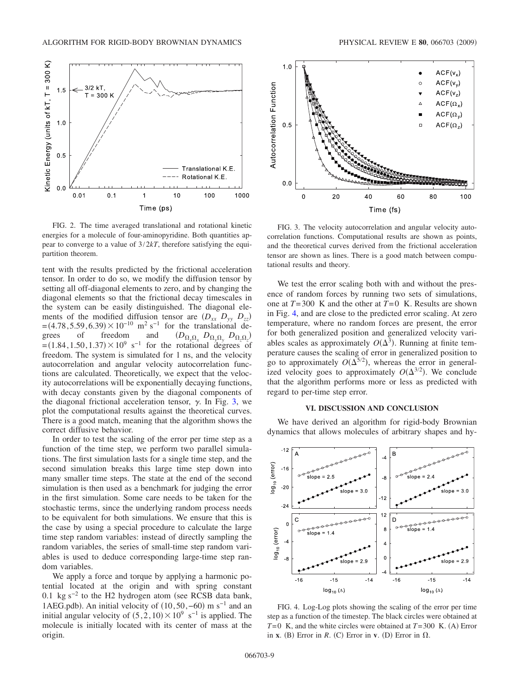<span id="page-8-0"></span>

FIG. 2. The time averaged translational and rotational kinetic energies for a molecule of four-aminopyridine. Both quantities appear to converge to a value of 3/2*kT*, therefore satisfying the equipartition theorem.

tent with the results predicted by the frictional acceleration tensor. In order to do so, we modify the diffusion tensor by setting all off-diagonal elements to zero, and by changing the diagonal elements so that the frictional decay timescales in the system can be easily distinguished. The diagonal elements of the modified diffusion tensor are  $(D_{xx} D_{yy} D_{zz})$  $=(4.78, 5.59, 6.39) \times 10^{-10}$  m<sup>2</sup> s<sup>-1</sup> for the translational degrees of freedom and  $(D_{\Omega_x \Omega_x} D_{\Omega_y \Omega_y} D_{\Omega_z})$  $\Omega_z$  $=(1.84, 1.50, 1.37) \times 10^{9}$  s<sup>-1</sup> for the rotational degrees of freedom. The system is simulated for 1 ns, and the velocity autocorrelation and angular velocity autocorrelation functions are calculated. Theoretically, we expect that the velocity autocorrelations will be exponentially decaying functions, with decay constants given by the diagonal components of the diagonal frictional acceleration tensor,  $\gamma$ . In Fig. [3,](#page-8-1) we plot the computational results against the theoretical curves. There is a good match, meaning that the algorithm shows the correct diffusive behavior.

In order to test the scaling of the error per time step as a function of the time step, we perform two parallel simulations. The first simulation lasts for a single time step, and the second simulation breaks this large time step down into many smaller time steps. The state at the end of the second simulation is then used as a benchmark for judging the error in the first simulation. Some care needs to be taken for the stochastic terms, since the underlying random process needs to be equivalent for both simulations. We ensure that this is the case by using a special procedure to calculate the large time step random variables: instead of directly sampling the random variables, the series of small-time step random variables is used to deduce corresponding large-time step random variables.

We apply a force and torque by applying a harmonic potential located at the origin and with spring constant 0.1 kg s<sup> $-2$ </sup> to the H2 hydrogen atom (see RCSB data bank, 1AEG.pdb). An initial velocity of  $(10, 50, -60)$  m s<sup>-1</sup> and an initial angular velocity of  $(5,2,10) \times 10^9$  s<sup>-1</sup> is applied. The molecule is initially located with its center of mass at the origin.

<span id="page-8-1"></span>

FIG. 3. The velocity autocorrelation and angular velocity autocorrelation functions. Computational results are shown as points, and the theoretical curves derived from the frictional acceleration tensor are shown as lines. There is a good match between computational results and theory.

We test the error scaling both with and without the presence of random forces by running two sets of simulations, one at *T*=300 K and the other at *T*=0 K. Results are shown in Fig. [4,](#page-8-2) and are close to the predicted error scaling. At zero temperature, where no random forces are present, the error for both generalized position and generalized velocity variables scales as approximately  $O(\Delta^3)$ . Running at finite temperature causes the scaling of error in generalized position to go to approximately  $O(\Delta^{5/2})$ , whereas the error in generalized velocity goes to approximately  $O(\Delta^{3/2})$ . We conclude that the algorithm performs more or less as predicted with regard to per-time step error.

#### **VI. DISCUSSION AND CONCLUSION**

We have derived an algorithm for rigid-body Brownian dynamics that allows molecules of arbitrary shapes and hy-

<span id="page-8-2"></span>

FIG. 4. Log-Log plots showing the scaling of the error per time step as a function of the timestep. The black circles were obtained at  $T=0$  K, and the white circles were obtained at  $T=300$  K. (A) Error in **x**. (B) Error in *R*. (C) Error in **v**. (D) Error in  $\Omega$ .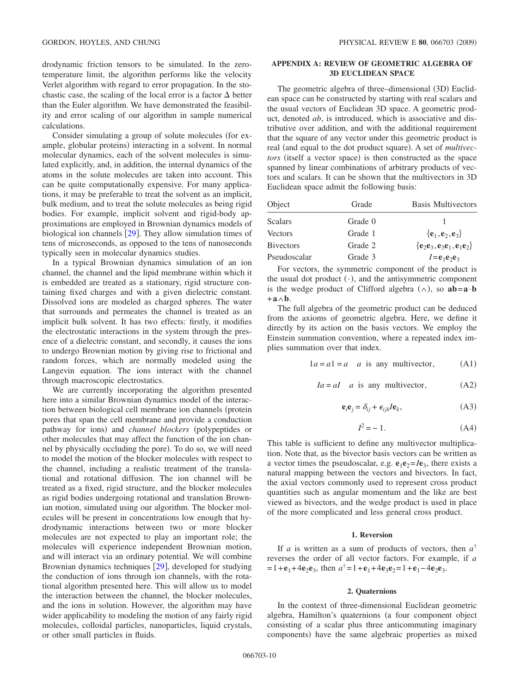drodynamic friction tensors to be simulated. In the zerotemperature limit, the algorithm performs like the velocity Verlet algorithm with regard to error propagation. In the stochastic case, the scaling of the local error is a factor  $\Delta$  better than the Euler algorithm. We have demonstrated the feasibility and error scaling of our algorithm in sample numerical calculations.

Consider simulating a group of solute molecules (for example, globular proteins) interacting in a solvent. In normal molecular dynamics, each of the solvent molecules is simulated explicitly, and, in addition, the internal dynamics of the atoms in the solute molecules are taken into account. This can be quite computationally expensive. For many applications, it may be preferable to treat the solvent as an implicit, bulk medium, and to treat the solute molecules as being rigid bodies. For example, implicit solvent and rigid-body approximations are employed in Brownian dynamics models of biological ion channels  $[29]$  $[29]$  $[29]$ . They allow simulation times of tens of microseconds, as opposed to the tens of nanoseconds typically seen in molecular dynamics studies.

In a typical Brownian dynamics simulation of an ion channel, the channel and the lipid membrane within which it is embedded are treated as a stationary, rigid structure containing fixed charges and with a given dielectric constant. Dissolved ions are modeled as charged spheres. The water that surrounds and permeates the channel is treated as an implicit bulk solvent. It has two effects: firstly, it modifies the electrostatic interactions in the system through the presence of a dielectric constant, and secondly, it causes the ions to undergo Brownian motion by giving rise to frictional and random forces, which are normally modeled using the Langevin equation. The ions interact with the channel through macroscopic electrostatics.

We are currently incorporating the algorithm presented here into a similar Brownian dynamics model of the interaction between biological cell membrane ion channels (protein pores that span the cell membrane and provide a conduction pathway for ions) and *channel blockers* (polypeptides or other molecules that may affect the function of the ion channel by physically occluding the pore). To do so, we will need to model the motion of the blocker molecules with respect to the channel, including a realistic treatment of the translational and rotational diffusion. The ion channel will be treated as a fixed, rigid structure, and the blocker molecules as rigid bodies undergoing rotational and translation Brownian motion, simulated using our algorithm. The blocker molecules will be present in concentrations low enough that hydrodynamic interactions between two or more blocker molecules are not expected to play an important role; the molecules will experience independent Brownian motion, and will interact via an ordinary potential. We will combine Brownian dynamics techniques  $[29]$  $[29]$  $[29]$ , developed for studying the conduction of ions through ion channels, with the rotational algorithm presented here. This will allow us to model the interaction between the channel, the blocker molecules, and the ions in solution. However, the algorithm may have wider applicability to modeling the motion of any fairly rigid molecules, colloidal particles, nanoparticles, liquid crystals, or other small particles in fluids.

# **APPENDIX A: REVIEW OF GEOMETRIC ALGEBRA OF 3D EUCLIDEAN SPACE**

The geometric algebra of three–dimensional (3D) Euclidean space can be constructed by starting with real scalars and the usual vectors of Euclidean 3D space. A geometric product, denoted *ab*, is introduced, which is associative and distributive over addition, and with the additional requirement that the square of any vector under this geometric product is real (and equal to the dot product square). A set of *multivectors* (itself a vector space) is then constructed as the space spanned by linear combinations of arbitrary products of vectors and scalars. It can be shown that the multivectors in 3D Euclidean space admit the following basis:

| Grade   | <b>Basis Multivectors</b>  |  |
|---------|----------------------------|--|
| Grade 0 |                            |  |
| Grade 1 | $\{e_1, e_2, e_3\}$        |  |
| Grade 2 | ${e_2e_3, e_3e_1, e_1e_2}$ |  |
| Grade 3 | $I = e_1e_2e_3$            |  |
|         |                            |  |

For vectors, the symmetric component of the product is the usual dot product  $(·)$ , and the antisymmetric component is the wedge product of Clifford algebra  $(\wedge)$ , so **ab**=**a**·**b** +**a**∧**b**.

The full algebra of the geometric product can be deduced from the axioms of geometric algebra. Here, we define it directly by its action on the basis vectors. We employ the Einstein summation convention, where a repeated index implies summation over that index.

$$
1a = a1 = a \quad a \text{ is any multivector}, \tag{A1}
$$

$$
Ia = aI \quad a \text{ is any multivector}, \tag{A2}
$$

$$
\mathbf{e}_i \mathbf{e}_j = \delta_{ij} + \epsilon_{ijk} I \mathbf{e}_k, \tag{A3}
$$

$$
I^2 = -1.\tag{A4}
$$

This table is sufficient to define any multivector multiplication. Note that, as the bivector basis vectors can be written as a vector times the pseudoscalar, e.g.  $e_1e_2 = Ie_3$ , there exists a natural mapping between the vectors and bivectors. In fact, the axial vectors commonly used to represent cross product quantities such as angular momentum and the like are best viewed as bivectors, and the wedge product is used in place of the more complicated and less general cross product.

### **1. Reversion**

If *a* is written as a sum of products of vectors, then  $a^{\dagger}$ reverses the order of all vector factors. For example, if *a*  $=1+e_1+4e_2e_3$ , then  $a^{\dagger}=1+e_1+4e_3e_2=1+e_1-4e_2e_3$ .

#### **2. Quaternions**

In the context of three-dimensional Euclidean geometric algebra, Hamilton's quaternions (a four component object consisting of a scalar plus three anticommuting imaginary components) have the same algebraic properties as mixed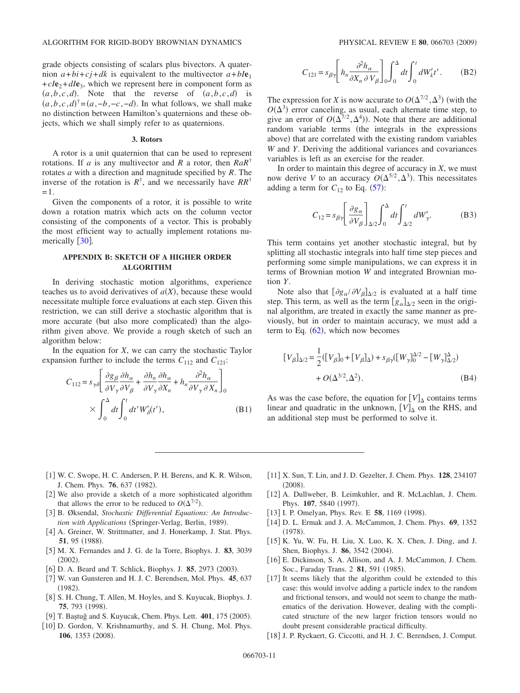grade objects consisting of scalars plus bivectors. A quaternion  $a + bi + cj + dk$  is equivalent to the multivector  $a + bl$ **e**<sub>1</sub>  $+cI\mathbf{e}_2+dI\mathbf{e}_3$ , which we represent here in component form as  $(a,b,c,d)$ . Note that the reverse of  $(a,b,c,d)$  is  $(a, b, c, d)^{\dagger} = (a, -b, -c, -d)$ . In what follows, we shall make no distinction between Hamilton's quaternions and these objects, which we shall simply refer to as quaternions.

#### **3. Rotors**

A rotor is a unit quaternion that can be used to represent rotations. If *a* is any multivector and *R* a rotor, then *RaR*† rotates *a* with a direction and magnitude specified by *R*. The inverse of the rotation is  $R^{\dagger}$ , and we necessarily have  $RR^{\dagger}$  $=1$ .

Given the components of a rotor, it is possible to write down a rotation matrix which acts on the column vector consisting of the components of a vector. This is probably the most efficient way to actually implement rotations numerically  $[30]$  $[30]$  $[30]$ .

## **APPENDIX B: SKETCH OF A HIGHER ORDER ALGORITHM**

In deriving stochastic motion algorithms, experience teaches us to avoid derivatives of  $a(X)$ , because these would necessitate multiple force evaluations at each step. Given this restriction, we can still derive a stochastic algorithm that is more accurate (but also more complicated) than the algorithm given above. We provide a rough sketch of such an algorithm below:

In the equation for *X*, we can carry the stochastic Taylor expansion further to include the terms  $C_{112}$  and  $C_{121}$ :

$$
C_{112} = s_{\gamma\delta} \left[ \frac{\partial g_{\beta}}{\partial V_{\gamma}} \frac{\partial h_{\alpha}}{\partial V_{\beta}} + \frac{\partial h_{n}}{\partial V_{\gamma}} \frac{\partial h_{\alpha}}{\partial X_{n}} + h_{n} \frac{\partial^{2} h_{\alpha}}{\partial V_{\gamma}} \frac{\partial h_{\alpha}}{\partial X_{n}} \right]_{0}
$$

$$
\times \int_{0}^{\Delta} dt \int_{0}^{t} dt' W_{\delta}'(t'), \qquad (B1)
$$

$$
C_{121} = s_{\beta\gamma} \left[ h_n \frac{\partial^2 h_\alpha}{\partial X_n \partial V_\beta} \right]_0 \int_0^\Delta dt \int_0^t dW'_k t'.
$$
 (B2)

The expression for *X* is now accurate to  $O(\Delta^{7/2}, \Delta^3)$  (with the  $O(\Delta^3)$  error canceling, as usual, each alternate time step, to give an error of  $O(\Delta^{7/2}, \Delta^4)$ ). Note that there are additional random variable terms (the integrals in the expressions above) that are correlated with the existing random variables *W* and *Y*. Deriving the additional variances and covariances variables is left as an exercise for the reader.

In order to maintain this degree of accuracy in *X*, we must now derive *V* to an accuracy  $O(\Delta^{5/2}, \Delta^3)$ . This necessitates adding a term for  $C_{12}$  to Eq.  $(57)$  $(57)$  $(57)$ :

$$
C_{12} = s_{\beta\gamma} \left[ \frac{\partial g_{\alpha}}{\partial V_{\beta}} \right]_{\Delta/2} \int_0^{\Delta} dt \int_{\Delta/2}^t dW'_{\gamma}.
$$
 (B3)

This term contains yet another stochastic integral, but by splitting all stochastic integrals into half time step pieces and performing some simple manipulations, we can express it in terms of Brownian motion *W* and integrated Brownian motion *Y*.

Note also that  $\left[\frac{\partial g_{\alpha}}{\partial V_{\beta}}\right]_{\Delta/2}$  is evaluated at a half time step. This term, as well as the term  $[g_{\alpha}]_{\Delta/2}$  seen in the original algorithm, are treated in exactly the same manner as previously, but in order to maintain accuracy, we must add a term to Eq.  $(62)$  $(62)$  $(62)$ , which now becomes

$$
\begin{aligned} [V_{\beta}]_{\Delta/2} &= \frac{1}{2} ([V_{\beta}]_0 + [V_{\beta}]_{\Delta}) + s_{\beta \gamma} ([W_{\gamma}]_0^{\Delta/2} - [W_{\gamma}]_{\Delta/2}^{\Delta}) \\ &+ O(\Delta^{3/2}, \Delta^2). \end{aligned} \tag{B4}
$$

As was the case before, the equation for  $[V]_A$  contains terms linear and quadratic in the unknown,  $[V]_A$  on the RHS, and an additional step must be performed to solve it.

- <span id="page-10-0"></span>[1] W. C. Swope, H. C. Andersen, P. H. Berens, and K. R. Wilson, J. Chem. Phys. **76**, 637 (1982).
- <span id="page-10-1"></span>[2] We also provide a sketch of a more sophisticated algorithm that allows the error to be reduced to  $O(\Delta^{7/2})$ .
- <span id="page-10-2"></span>3 B. Øksendal, *Stochastic Differential Equations: An Introduc*tion with Applications (Springer-Verlag, Berlin, 1989).
- <span id="page-10-3"></span>[4] A. Greiner, W. Strittmatter, and J. Honerkamp, J. Stat. Phys. **51**, 95 (1988).
- <span id="page-10-4"></span>5 M. X. Fernandes and J. G. de la Torre, Biophys. J. **83**, 3039  $(2002).$
- <span id="page-10-5"></span>[6] D. A. Beard and T. Schlick, Biophys. J. 85, 2973 (2003).
- <span id="page-10-6"></span>7 W. van Gunsteren and H. J. C. Berendsen, Mol. Phys. **45**, 637  $(1982).$
- <span id="page-10-7"></span>[8] S. H. Chung, T. Allen, M. Hoyles, and S. Kuyucak, Biophys. J. **75**, 793 (1998).
- <span id="page-10-8"></span>[9] T. Baştuğ and S. Kuyucak, Chem. Phys. Lett. 401, 175 (2005).
- <span id="page-10-9"></span>[10] D. Gordon, V. Krishnamurthy, and S. H. Chung, Mol. Phys. 106, 1353 (2008).
- <span id="page-10-10"></span>11 X. Sun, T. Lin, and J. D. Gezelter, J. Chem. Phys. **128**, 234107  $(2008).$
- <span id="page-10-11"></span>[12] A. Dullweber, B. Leimkuhler, and R. McLachlan, J. Chem. Phys. 107, 5840 (1997).
- <span id="page-10-12"></span>[13] I. P. Omelyan, Phys. Rev. E 58, 1169 (1998).
- <span id="page-10-13"></span>14 D. L. Ermak and J. A. McCammon, J. Chem. Phys. **69**, 1352  $(1978).$
- <span id="page-10-14"></span>[15] K. Yu, W. Fu, H. Liu, X. Luo, K. X. Chen, J. Ding, and J. Shen, Biophys. J. 86, 3542 (2004).
- <span id="page-10-15"></span>[16] E. Dickinson, S. A. Allison, and A. J. McCammon, J. Chem. Soc., Faraday Trans. 2 81, 591 (1985).
- <span id="page-10-16"></span>[17] It seems likely that the algorithm could be extended to this case: this would involve adding a particle index to the random and frictional tensors, and would not seem to change the mathematics of the derivation. However, dealing with the complicated structure of the new larger friction tensors would no doubt present considerable practical difficulty.
- <span id="page-10-17"></span>[18] J. P. Ryckaert, G. Ciccotti, and H. J. C. Berendsen, J. Comput.